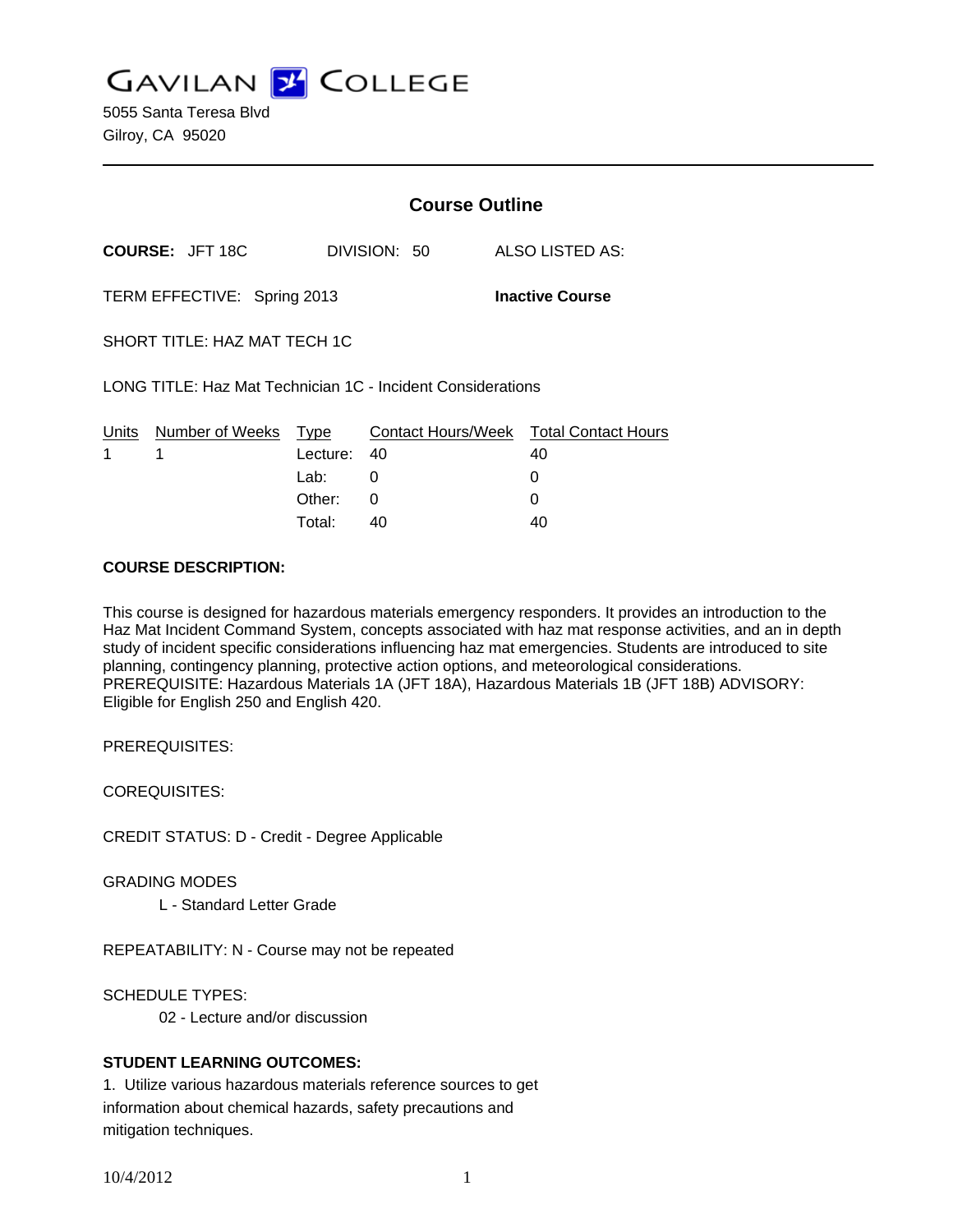**GAVILAN Z COLLEGE** 

5055 Santa Teresa Blvd Gilroy, CA 95020

|                                                             |                        | <b>Course Outline</b> |    |                                              |
|-------------------------------------------------------------|------------------------|-----------------------|----|----------------------------------------------|
|                                                             | <b>COURSE: JFT 18C</b> | DIVISION: 50          |    | ALSO LISTED AS:                              |
| TERM EFFECTIVE: Spring 2013<br><b>Inactive Course</b>       |                        |                       |    |                                              |
| SHORT TITLE: HAZ MAT TECH 1C                                |                        |                       |    |                                              |
| LONG TITLE: Haz Mat Technician 1C - Incident Considerations |                        |                       |    |                                              |
| Units<br>1                                                  | Number of Weeks<br>1   | Type<br>Lecture:      | 40 | Contact Hours/Week Total Contact Hours<br>40 |
|                                                             |                        | Lab: Lab              | 0  | 0                                            |
|                                                             |                        | Other:                | 0  | 0                                            |
|                                                             |                        | Total:                | 40 | 40                                           |

#### **COURSE DESCRIPTION:**

This course is designed for hazardous materials emergency responders. It provides an introduction to the Haz Mat Incident Command System, concepts associated with haz mat response activities, and an in depth study of incident specific considerations influencing haz mat emergencies. Students are introduced to site planning, contingency planning, protective action options, and meteorological considerations. PREREQUISITE: Hazardous Materials 1A (JFT 18A), Hazardous Materials 1B (JFT 18B) ADVISORY: Eligible for English 250 and English 420.

PREREQUISITES:

COREQUISITES:

CREDIT STATUS: D - Credit - Degree Applicable

GRADING MODES

L - Standard Letter Grade

REPEATABILITY: N - Course may not be repeated

SCHEDULE TYPES:

02 - Lecture and/or discussion

## **STUDENT LEARNING OUTCOMES:**

1. Utilize various hazardous materials reference sources to get information about chemical hazards, safety precautions and mitigation techniques.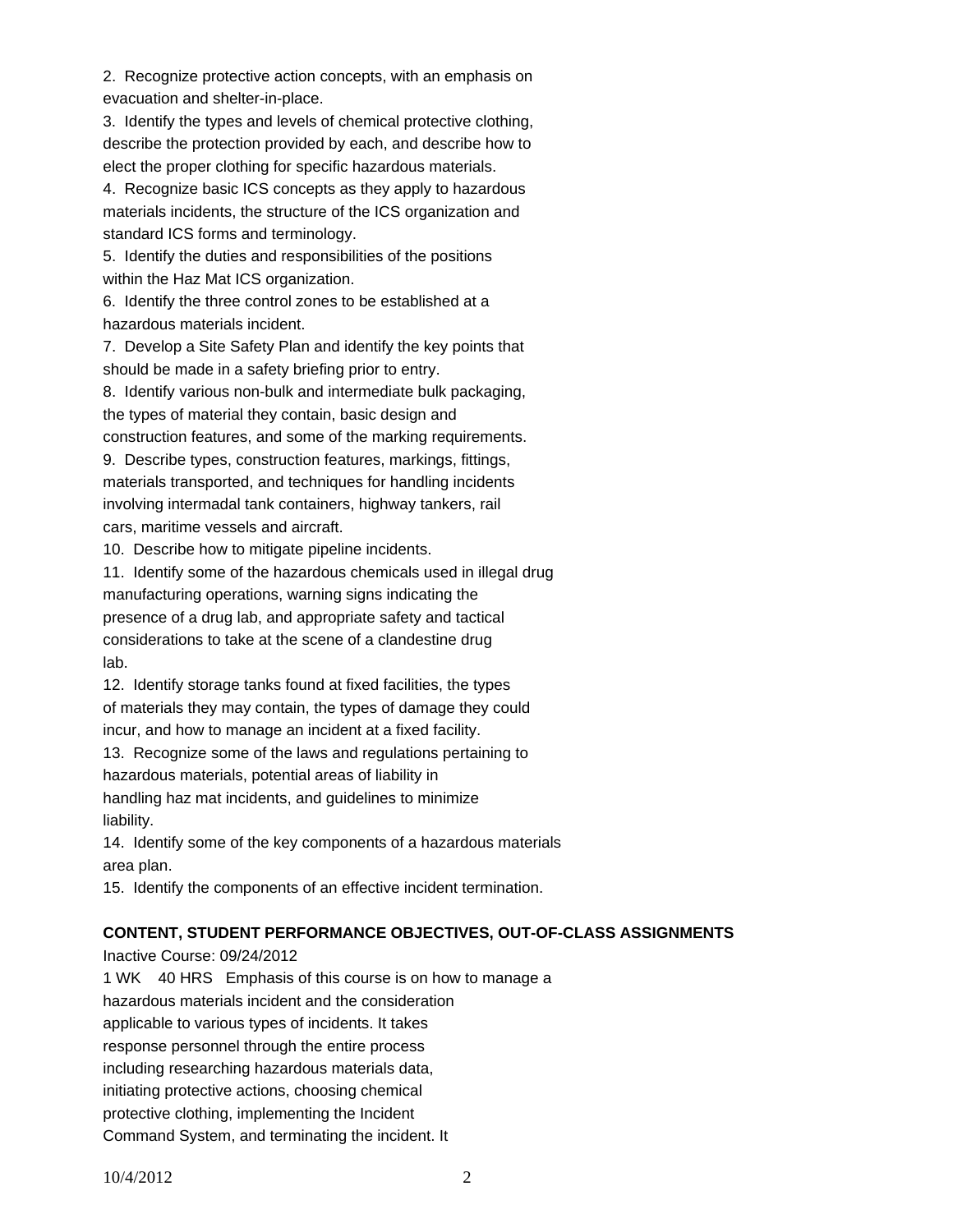2. Recognize protective action concepts, with an emphasis on evacuation and shelter-in-place.

3. Identify the types and levels of chemical protective clothing, describe the protection provided by each, and describe how to elect the proper clothing for specific hazardous materials.

4. Recognize basic ICS concepts as they apply to hazardous materials incidents, the structure of the ICS organization and standard ICS forms and terminology.

5. Identify the duties and responsibilities of the positions within the Haz Mat ICS organization.

6. Identify the three control zones to be established at a hazardous materials incident.

7. Develop a Site Safety Plan and identify the key points that should be made in a safety briefing prior to entry.

8. Identify various non-bulk and intermediate bulk packaging, the types of material they contain, basic design and construction features, and some of the marking requirements.

9. Describe types, construction features, markings, fittings, materials transported, and techniques for handling incidents involving intermadal tank containers, highway tankers, rail cars, maritime vessels and aircraft.

10. Describe how to mitigate pipeline incidents.

11. Identify some of the hazardous chemicals used in illegal drug manufacturing operations, warning signs indicating the presence of a drug lab, and appropriate safety and tactical considerations to take at the scene of a clandestine drug lab.

12. Identify storage tanks found at fixed facilities, the types of materials they may contain, the types of damage they could incur, and how to manage an incident at a fixed facility.

13. Recognize some of the laws and regulations pertaining to hazardous materials, potential areas of liability in handling haz mat incidents, and guidelines to minimize

liability.

14. Identify some of the key components of a hazardous materials area plan.

15. Identify the components of an effective incident termination.

# **CONTENT, STUDENT PERFORMANCE OBJECTIVES, OUT-OF-CLASS ASSIGNMENTS**

Inactive Course: 09/24/2012 1 WK 40 HRS Emphasis of this course is on how to manage a hazardous materials incident and the consideration applicable to various types of incidents. It takes response personnel through the entire process including researching hazardous materials data, initiating protective actions, choosing chemical protective clothing, implementing the Incident Command System, and terminating the incident. It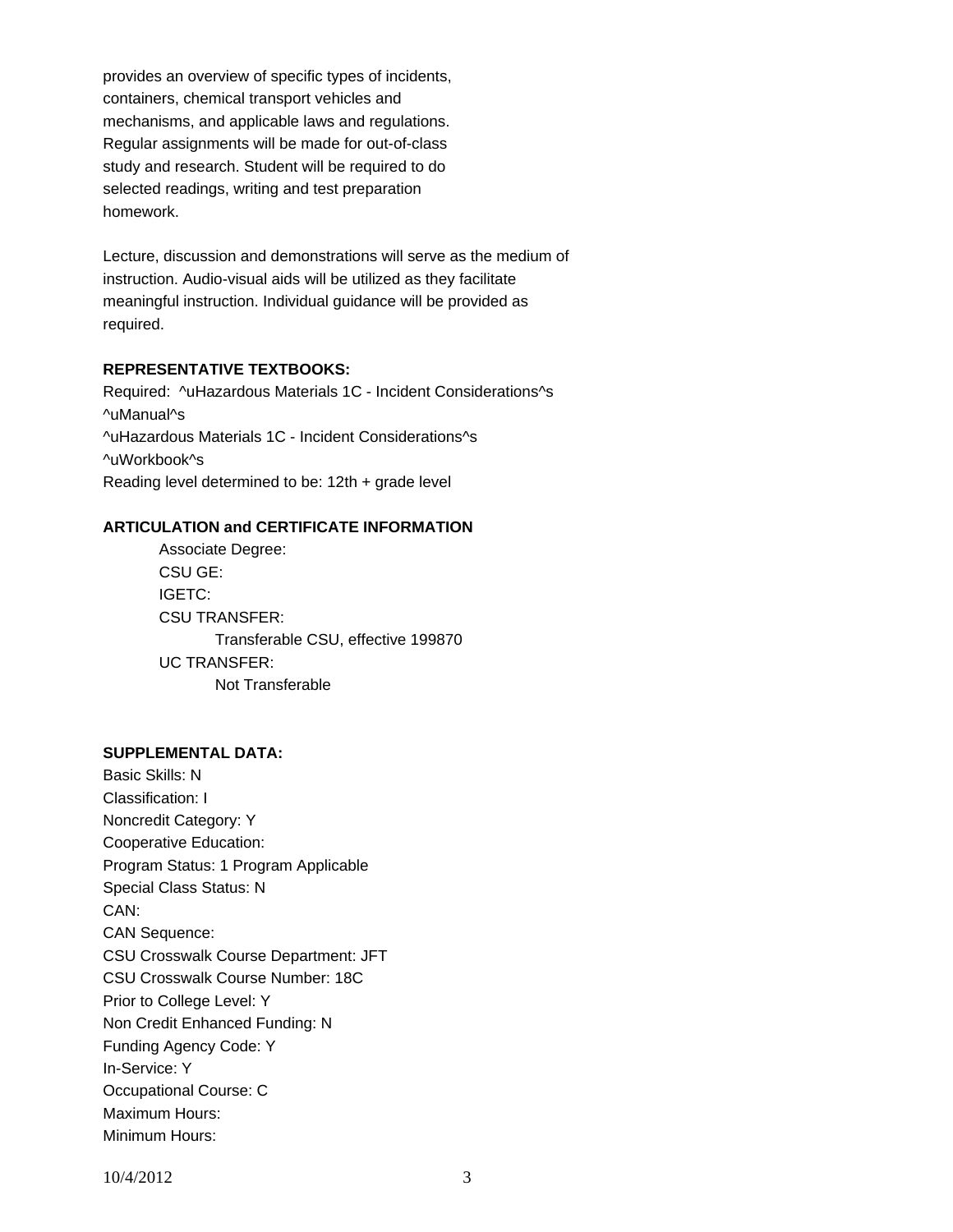provides an overview of specific types of incidents, containers, chemical transport vehicles and mechanisms, and applicable laws and regulations. Regular assignments will be made for out-of-class study and research. Student will be required to do selected readings, writing and test preparation homework.

Lecture, discussion and demonstrations will serve as the medium of instruction. Audio-visual aids will be utilized as they facilitate meaningful instruction. Individual guidance will be provided as required.

## **REPRESENTATIVE TEXTBOOKS:**

Required: ^uHazardous Materials 1C - Incident Considerations^s ^uManual^s ^uHazardous Materials 1C - Incident Considerations^s ^uWorkbook^s Reading level determined to be: 12th + grade level

## **ARTICULATION and CERTIFICATE INFORMATION**

 Transferable CSU, effective 199870 UC TRANSFER: Not Transferable Associate Degree: CSU GE: IGETC: CSU TRANSFER:

#### **SUPPLEMENTAL DATA:**

Basic Skills: N Classification: I Noncredit Category: Y Cooperative Education: Program Status: 1 Program Applicable Special Class Status: N CAN: CAN Sequence: CSU Crosswalk Course Department: JFT CSU Crosswalk Course Number: 18C Prior to College Level: Y Non Credit Enhanced Funding: N Funding Agency Code: Y In-Service: Y Occupational Course: C Maximum Hours: Minimum Hours: